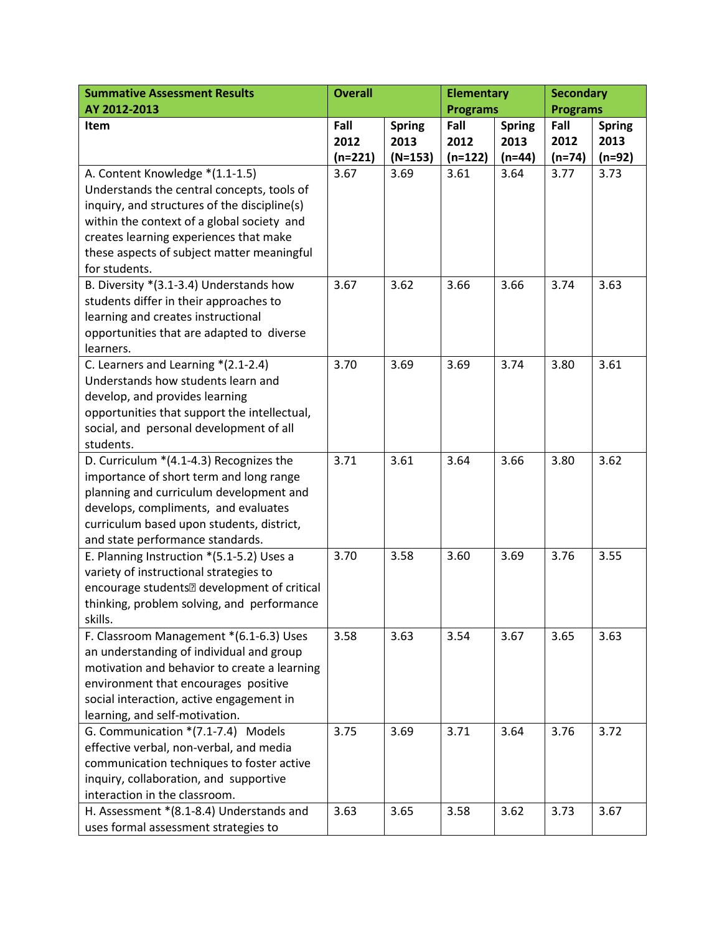| <b>Summative Assessment Results</b>                     | <b>Overall</b> |               | <b>Elementary</b> |               | <b>Secondary</b> |               |
|---------------------------------------------------------|----------------|---------------|-------------------|---------------|------------------|---------------|
| AY 2012-2013                                            |                |               | <b>Programs</b>   |               | <b>Programs</b>  |               |
| Item                                                    | Fall           | <b>Spring</b> | Fall              | <b>Spring</b> | Fall             | <b>Spring</b> |
|                                                         | 2012           | 2013          | 2012              | 2013          | 2012             | 2013          |
|                                                         | $(n=221)$      | $(N=153)$     | $(n=122)$         | $(n=44)$      | $(n=74)$         | $(n=92)$      |
| A. Content Knowledge *(1.1-1.5)                         | 3.67           | 3.69          | 3.61              | 3.64          | 3.77             | 3.73          |
| Understands the central concepts, tools of              |                |               |                   |               |                  |               |
| inquiry, and structures of the discipline(s)            |                |               |                   |               |                  |               |
| within the context of a global society and              |                |               |                   |               |                  |               |
| creates learning experiences that make                  |                |               |                   |               |                  |               |
| these aspects of subject matter meaningful              |                |               |                   |               |                  |               |
| for students.                                           |                |               |                   |               |                  |               |
| B. Diversity *(3.1-3.4) Understands how                 | 3.67           | 3.62          | 3.66              | 3.66          | 3.74             | 3.63          |
| students differ in their approaches to                  |                |               |                   |               |                  |               |
| learning and creates instructional                      |                |               |                   |               |                  |               |
| opportunities that are adapted to diverse               |                |               |                   |               |                  |               |
| learners.                                               |                |               |                   |               |                  |               |
| C. Learners and Learning *(2.1-2.4)                     | 3.70           | 3.69          | 3.69              | 3.74          | 3.80             | 3.61          |
| Understands how students learn and                      |                |               |                   |               |                  |               |
| develop, and provides learning                          |                |               |                   |               |                  |               |
| opportunities that support the intellectual,            |                |               |                   |               |                  |               |
| social, and personal development of all                 |                |               |                   |               |                  |               |
| students.<br>D. Curriculum *(4.1-4.3) Recognizes the    | 3.71           | 3.61          | 3.64              | 3.66          | 3.80             | 3.62          |
| importance of short term and long range                 |                |               |                   |               |                  |               |
| planning and curriculum development and                 |                |               |                   |               |                  |               |
| develops, compliments, and evaluates                    |                |               |                   |               |                  |               |
| curriculum based upon students, district,               |                |               |                   |               |                  |               |
| and state performance standards.                        |                |               |                   |               |                  |               |
| E. Planning Instruction *(5.1-5.2) Uses a               | 3.70           | 3.58          | 3.60              | 3.69          | 3.76             | 3.55          |
| variety of instructional strategies to                  |                |               |                   |               |                  |               |
| encourage students <sup>n</sup> development of critical |                |               |                   |               |                  |               |
| thinking, problem solving, and performance              |                |               |                   |               |                  |               |
| skills.                                                 |                |               |                   |               |                  |               |
| F. Classroom Management *(6.1-6.3) Uses                 | 3.58           | 3.63          | 3.54              | 3.67          | 3.65             | 3.63          |
| an understanding of individual and group                |                |               |                   |               |                  |               |
| motivation and behavior to create a learning            |                |               |                   |               |                  |               |
| environment that encourages positive                    |                |               |                   |               |                  |               |
| social interaction, active engagement in                |                |               |                   |               |                  |               |
| learning, and self-motivation.                          |                |               |                   |               |                  |               |
| G. Communication *(7.1-7.4) Models                      | 3.75           | 3.69          | 3.71              | 3.64          | 3.76             | 3.72          |
| effective verbal, non-verbal, and media                 |                |               |                   |               |                  |               |
| communication techniques to foster active               |                |               |                   |               |                  |               |
| inquiry, collaboration, and supportive                  |                |               |                   |               |                  |               |
| interaction in the classroom.                           |                |               |                   |               |                  |               |
| H. Assessment *(8.1-8.4) Understands and                | 3.63           | 3.65          | 3.58              | 3.62          | 3.73             | 3.67          |
| uses formal assessment strategies to                    |                |               |                   |               |                  |               |